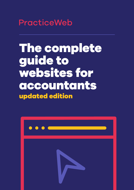**PracticeWeb** 

# The complete guide to websites for accountants updated edition

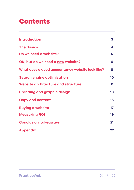### Contents

| <b>Introduction</b>                             | 3  |
|-------------------------------------------------|----|
| <b>The Basics</b>                               | 4  |
| Do we need a website?                           | 5  |
| OK, but do we need a new website?               | 6  |
| What does a good accountancy website look like? | 8  |
| <b>Search engine optimisation</b>               | 10 |
| Website architecture and structure              | 11 |
| <b>Branding and graphic design</b>              | 13 |
| <b>Copy and content</b>                         | 15 |
| <b>Buying a website</b>                         | 17 |
| <b>Measuring ROI</b>                            | 19 |
| <b>Conclusion: takeaways</b>                    | 21 |
| <b>Appendix</b>                                 | 22 |

 $\circ$  2  $\circ$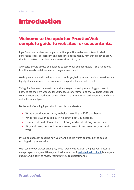### Introduction

### **Welcome to the updated PracticeWeb complete guide to websites for accountants.**

If you're an accountant setting up your first practice website and keen to start generating leads, or represent an established accountancy firm that's ready to grow, this PracticeWeb complete guide to websites is for you.

A website should always be designed to serve your business goals – it's a functional tool that needs to deliver a return on your investment.

We hope our guide will make you a smarter buyer, help you ask the right questions and highlight some issues to be aware of in this particular specialist market.

This guide is one of our most comprehensive yet, covering everything you need to know to get the right website for your accountancy firm – one that will help you meet your business and marketing goals, achieve maximum return on investment and stand out in the marketplace.

By the end of reading it you should be able to understand:

- **•** What a good accountancy website looks like in 2022 and beyond.
- **•** What role SEO should play in helping to get you noticed.
- **•** How you should plan and set out copy and content on your website.
- **•** Why and how you should measure return on investment for your hard work.

If your business isn't scaling how you want it to, it's worth addressing the basics: starting with your website.

With technology always changing, if your website is stuck in the past your potential new prospects may well think your business is too. A [website health check](https://www.practiceweb.co.uk/services/websites-for-accountants/website-audit/) is always a good starting point to review your existing site's performance.

#### **PracticeWeb**

3  $\odot$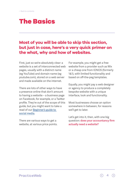### The Basics

#### **Most of you will be able to skip this section, but just in case, here's a very quick primer on the what, why and how of websites.**

First, just so we're absolutely clear: a website is a set of interconnected web pages, usually with a distinct name (eg YouTube) and domain name (eg youtube.com), stored on a web server and made available on the internet.

There are lots of other ways to have a presence online that don't amount to having a website – a business page on Facebook, for example, or a Twitter profile. They're out of the scope of this guide, but you might want to take a read of our [Beginner's guide to](https://www.practiceweb.co.uk/knowledge/beginners-guide-to-social-media-for-accountants/)  [social media.](https://www.practiceweb.co.uk/knowledge/beginners-guide-to-social-media-for-accountants/)

There are various ways to get a website, at various price points.

For example, you might get a free website from a provider such as Wix or a cheap one from IONOS (formerly 1&1), with limited functionality and based on off-the-peg templates.

Equally, you might pay a web designer or agency to produce a completely bespoke website with a unique interface, look and functionality.

Most businesses choose an option somewhere in between, for reasons we'll get to later.

Let's get into it, then, with one big question: **does your accountancy firm actually need a website?**

4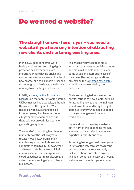### Do we need a website?

### **The straight answer here is yes – you need a website if you have any intention of attracting new clients and nurturing existing ones.**

In the 2022 post-pandemic world, having a robust and engaging digital presence has never been more important. Where having bricks-andmortar premises once served to attract new clients, or a social media presence was enough to drive leads, a website is now key to attracting new business.

#### In 2019, [a survey by the AI company](https://www.glass.ai/glass-news/2019/1/28/a-comparison-of-uk-sectors-based-on-web-presence-and-official-statistics)

[Glass](https://www.glass.ai/glass-news/2019/1/28/a-comparison-of-uk-sectors-based-on-web-presence-and-official-statistics) found that only 30% of registered UK businesses had a website, although this varied a little by sector. While this is likely to have changed a bit in recent years, it still means there's a huge number of companies out there without an optimised core for generating enquiries.

The world of accounting has changed markedly over the last few years, too. It's moved away from simply maintaining your client's books and submitting them to HMRC every year, and towards a full-spectrum digital advisory service that incorporates cloud-based accounting software and a deep understanding of your clients' businesses.

This means your website is more important than ever, especially as more and more millennials and Gen Z-ers come of age and start businesses of their own. The current generation's buying habits are [increasingly digital](https://www.drapersonline.com/insight/drapers-bespoke/gen-z-and-millennials-2021-report), a trend only accelerated by the pandemic.

That's something to keep in mind not only for attracting new clients, but also for attracting new talent – to maintain a modern culture and bring the right staff into your firm, you need to appeal to the younger generations as a workplace.

So, in addition to needing a website to get in front of this expanding market, you need to have a site that conveys expertise, authority and trust.

According to Google, customers get up to 60% of the way through the buying process before they're ever ready to pick up a phone and talk to anyone. This is all pointing one way: you need a website, and it needs top-tier content.

#### **PracticeWeb**

5  $\Omega$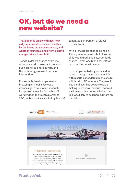### OK, but do we need a new website?

**That depends on a few things: how old your current website is, whether it's achieving what you want it to, and whether your goals and priorities have changed since it was built.** 

Trends in design change over time, of course, as do the expectations of business-to-business buyers, and the technology we use to access information.

For example, hardly anyone was browsing on mobile devices a decade ago. Now, mobile accounts for approximately half of web traffic worldwide. In the fourth quarter of 2021, mobile devices (excluding tablets)

generated 54.4 percent of global website traffic.

With all that rapid change going on, it's very easy for a website to look out of date and tired. But also, standards change – what was technically fit for purpose then won't be now.

For example, web designers used to strive to design pages that would fit within certain standard dimensions to suit desktop PC monitors. They would also bend over backwards to avoid making users scroll because received wisdom was that content 'below the fold' was likely to be ignored. (More on that later.)

6

 $\bigcirc$ 

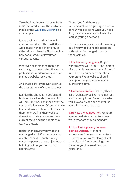Take the PracticeWeb website from 2012, (pictured above) thanks to the magic of the [Wayback Machine,](https://archive.org/web/) as an example.

It was designed so that the main content would fit within an 800 pixel wide space, hence all that grey at either side, and used a Flash plugin – now seriously out of favour for various reasons.

What was best practice then, and sent a signal to users that this was a professional, modern website, now makes a website look tired.

And that's before you even get into the expectations of search engines.

Besides the changes in design and technological trends, your own firm will inevitably have changed over the course of a few years. Often, when we first sit down to talk with clients about their firms, we find their website doesn't accurately represent their current focus and the people they want to attract.

Rather than leaving your website unchanged until it's completely out of date, it's best to continuously review its performance, adjusting and building on it as you learn from user insights.

Then, if you find there are fundamental issues getting in the way of your website doing what you need it to, the chances are you'll need to look at getting a new one.

Here are a few quick tricks for working out if your website needs attention, without getting bogged down in technicalities.

**1. Think about your goals.** Do you want to grow your firm? Bring in more of a particular sector or type of client? Introduce a new service, or refresh your brand? Your website should be supporting you, whatever your overarching aims.

**2. Gather inspiration.** Get together a list of websites you like – and not just accountancy firms. Break down what you like about each and the values you think they put across.

**3. Review the competition.** What are your immediate competitors doing well? What are they doing badly?

**4. Then look again at your own existing website.** Are there annoyances from your competitors' websites which you're also guilty of committing? Are there things the websites you like are doing that yours isn't?

7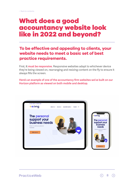### What does a good accountancy website look like in 2022 and beyond?

### **To be effective and appealing to clients, your website needs to meet a basic set of best practice requirements.**

First, **it must be responsive**. Responsive websites adapt to whichever device they're being viewed on, rearranging and resizing content on the fly to ensure it always fills the screen.

**Here's an example of one of the accountancy firm websites we've built on our Horizon platform as viewed on both mobile and desktop.** 



8  $\odot$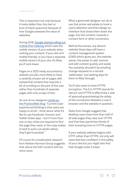This is important not only because it looks better than tiny text or tons of blank space but because of how Google assesses the value of websites.

During 2018, [Google started rolling out](https://www.practiceweb.co.uk/knowledge/mobile-first-indexing/)  [mobile-first indexing](https://www.practiceweb.co.uk/knowledge/mobile-first-indexing/) which uses the mobile version of your website when ranking your content. If your site isn't mobile friendly, or you have a separate mobile version of your site, it's likely you'll rank lower.

Pages on a 2022-ready accountancy website are also more likely to have a carefully chosen set of pages with substantial content that requires a bit of scrolling on the part of the user rather than hundreds of separate pages with only scraps of text.

As one of our designers [wrote on](https://www.practiceweb.co.uk/knowledge/websites-lead-generation-accountants/)  [the PracticeWeb blog:](https://www.practiceweb.co.uk/knowledge/websites-lead-generation-accountants/) "Current [user experience] thinking is that users are happy to scroll – think about what it's like to use Facebook, Amazon and Twitter these days – but if more than one or two clicks are required to find the page they need, or the copy makes it hard to work out what's where, they'll get frustrated."

Of course it's complicated: research from Nielsen Norman Group suggests that 'above the fold' content still has more value.

What a good web designer can do is use that prime real estate to hook a user's attention and then design an interface that draws them down the page, into the content, towards a contact form or other conversion.

Behind the scenes, any decent website these days will have a content management system (CMS) which gives you, the website owner, the power to add, remove and edit content quickly and easily. You certainly shouldn't be emailing change requests to a remote 'webmaster' and waiting days for them to filter through.

You'll also want to have HTTPS encryption. The S in HTTPS stands for 'secure' and HTTPS is effectively a seal of approval guaranteeing the safety of the connection between a user's browser and the website in question.

Stats from Google suggest that desktop users load more than half of all web-pages they view over HTTPS and that they spend two-thirds of their browsing time on HTTPS pages.

If your website address begins with HTTP rather than HTTPS, not only will users feel less confident in the safety of your site but you might also find that Google ranks it lower.

 $\Omega$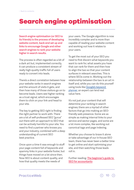# Search engine optimisation

**Search engine optimisation (or SEO to its friends) is the process of developing website content, back-end set up and links to encourage Google and other search engines to rank your website higher in search results.**

The process is often regarded as a bit of a dark art but, implemented correctly, it can produce a consistent stream of really high-quality traffic full of users ready to convert into leads.

There's a direct correlation between how your website ranks in search engines and the amount of visits it gets, and then how many of those visitors go on to become leads. Users see higher ranking as a trust signal, which encourages them to click on your link and head to your site.

The key to getting SEO right is finding the right partner to work with. There are a lot of self-professed SEO "gurus" out there with an approach to SEO that can be actively harmful to your site. You need to find a partner who knows you and your industry, combined with a deep understanding of current SEO best practice.

Once upon a time it was enough to stuff your page content full of keywords and spammy links in your website footer, but things have moved on a lot since then. Now SEO is about content quality, and how that quality meets the needs of

your users. The Google algorithm is now incredibly complex and is more than capable of reading your website content and working out how it relates to your users.

To get the most out of your SEO you need to first discern what keywords you want to rank for, what assets you have that can rank for them and then how to align the two so that your content surfaces in relevant searches. This is where SEOs come in. Working out the relationship between the two is an art in itself and, while you can do this yourself using tools like [Google's keyword](https://ads.google.com/intl/en_uk/home/tools/keyword-planner/)  [planner,](https://ads.google.com/intl/en_uk/home/tools/keyword-planner/) an expert can lend real value here.

It's not just your content that will determine your ranking in search engines; there are a myriad of other factors that go into making an SEOfriendly web presence. Some are as simple as making internal links to your service and sector pages, and some are a lot more complex, like working out canonical tags and page indexing.

Whether you choose to brave it alone or take advantage of our in-house SEO team, there has never been a better time to get online and start optimising your site, and then watching those leads roll in.

Further reading: **[The beginner's guide to](https://www.practiceweb.co.uk/knowledge/beginners-guide-to-seo-for-accountants/)  [SEO for accountants](https://www.practiceweb.co.uk/knowledge/beginners-guide-to-seo-for-accountants/)**

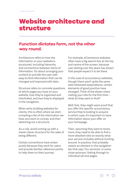### Website architecture and structure

#### **Function dictates form, not the other way round.**

Architecture refers to how the information on your website is structured, including hierarchy and connections between items of information. It's about arranging your content to provide the user with easy-to-find information that can be changed and improved with data.

Structure refers to concrete questions of which pages you have on your website, how they're organised and interlinked, and how they're displayed in the navigation.

When we're building websites for clients, this is often where we start, compiling a list of the information we have and want to convey, and then sketching out a structure.

As a rule, avoid coming up with a clever-clever structure for the sake of being different.

Certain conventions have arisen purely because they work for users and provide familiar reference points to help them on their journey.

For example, eCommerce websites often have a big search box at the top and centre of the screen, because user testing over the years has shown that people expect it to be there.

In the case of accountancy websites, though there aren't quite the same well-rehearsed expectations, certain elements of good practice have emerged. Think of the dream client visiting your site for the first time – what do they want to find?

Well, first, they might want proof that you offer the specific accountancy service they're looking to acquire. In which case, it's important to have information about your offer on your homepage.

Then, assuming they want to know more, they need to be able to find a more detailed note on exactly what your service includes without hunting around. In practice, that probably means an element in the navigation bar that says 'Our services', or some close synonym, linking through to individual service pages.

 $\odot$ 11  $($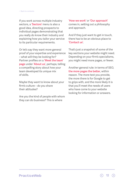If you work across multiple industry sectors, a **'Sectors'** menu is also a good idea, directing prospects to individual pages demonstrating that you really do know their industry and explaining how you tailor your service to its particular requirements.

Or let's say they want more general proof of your expertise and experience – what will they be looking for? Partner profiles on a **'Meet the team' page** under **'About us'**, perhaps, telling a compelling story about how your team developed its unique mix of skills.

Maybe they want to know about your firm's culture – do you share their attitudes?

Are you the kind of people with whom they can do business? This is where

**'How we work'** or **'Our approach'** comes in, setting out a philosophy and approach.

And if they just want to get in touch, there has to be an obvious place to **'Contact us'**.

That's just a snapshot of some of the key sections your website might need. Depending on your firm's specialisms, you might need more pages, or fewer.

Another general rule: in terms of SEO, **the more pages the better**, within reason. The more text you provide, the more there is for Google to get to grips with, and the more likely it is that you'll meet the needs of users who have come to your website looking for information or answers.

12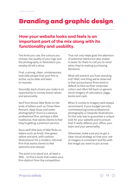# Branding and graphic design

### **How your website looks and feels is an important part of the mix along with its functionality and usability.**

The fonts you use, the colours you choose, the quality of your logo and the photography or illustration you employ all tell a story.

First, a strong, clean, contemporary look tells people that your firm is active, up-to-date and keen to impress.

Secondly, each choice you make is an opportunity to convey brand values and personality.

Serif font (those little flicks on the ends of letters such as Times New Roman), deep blues and sober photography? Yours is a serious, professional firm, perhaps a little traditional, that wants clients to feel they're getting a premium service.

Sans-serif (the lack of little flicks on letters such as Arial), lime green, yellow and pink, with cartoon illustrations? It's a modern, informal firm that wants clients to feel welcome and relaxed.

The point is to stand out, at least a little – to find a hook that makes your firm distinct from the competition.

That not only helps grab the attention of potential clients but also makes it easier for them to call you to mind when they're making purchasing decisions.

What will prevent you from standing out? Well, one thing we've observed is that accountancy firms tend to default to blue as their corporate colour and often fall back on generic stock imagery of calculators, piggy banks and cash.

When it comes to imagery we'd always recommend, if your budget permits, commissioning some professional photography or bespoke illustrations. It's the only way to guarantee a unique look for your website and to ensure that it really reflects your office, your team and your personality.

Otherwise, make sure you've got a clear visual strategy so that your use of imagery is consistent and fits with the image you want to put across[.](https://www.practiceweb.co.uk/knowledge/optimising-images-accountancy-websites/)

13  $($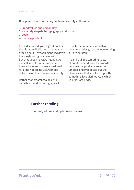**Best practice is to work on your brand identity in this order:** 

- 1. **Brand values and personality**.
- 2. **Visual style** palette, typography and so on.
- 3. **Logo**.
- 4. **Specific products**.

In an ideal world, your logo should be the ultimate distillation of what your firm is about – everything boiled down to a single recognisable mark. But that doesn't always happen. As a result, clients sometimes come to us with logos that were designed for print, not online use, without reflection on brand values or identity.

Rather than attempt to design a website around those logos, we'll usually recommend a refresh or complete redesign of the logo to bring it up to scratch.

It can be all too tempting to start at point four and work backwards because the products are more tangible and immediate but the chances are that you'll end up with something less distinctive, in which you feel less pride.

#### **Further reading**

[Sourcing, editing and optimising images](https://www.practiceweb.co.uk/knowledge/optimising-images-accountancy-websites/)

**PracticeWeb** 

14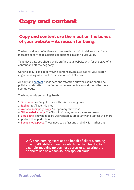### Copy and content

#### **Copy and content are the meat on the bones of your website – its reason for being.**

The best and most effective websites are those built to deliver a particular message or service to a particular audience in a particular voice.

To achieve that, you should avoid stuffing your website with for-the-sake-of-it content and off-the-peg copy.

Generic copy is bad at conveying personality. It's also bad for your search engine ranking, as set out in the section on SEO, above.

All copy and [content](https://www.practiceweb.co.uk/guides/complete-guide-content-marketing-accountants/) needs care and attention but while some should be polished and crafted to perfection other elements can and should be more spontaneous.

The hierarchy is something like this:

- **1. Firm name**. You've got to live with this for a long time.
- 2. **Tagline**. You'll see this a lot.
- 3. **Website homepage copy**. Your primary showcase.

4. **Other website copy**. The 'About us' page, service pages and so on.

5. **Blog posts**. They need to be well written but regularity and topicality is more important than perfection.

6. **Social media posts**. These need to be fast and probably fun rather than

**We've run naming exercises on behalf of clients, coming up with 400 different names which we then test by, for example, mocking up business cards, or answering the phone to see how each sounds spoken aloud.**

**PracticeWeb** 

 $\odot$  15  $\odot$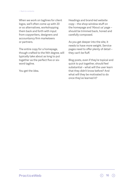When we work on taglines for client logos, we'll often come up with 20 or so alternatives, workshopping them back and forth with input from copywriters, designers and accountancy firm marketeers or partners.

The entire copy for a homepage, though crafted to the Nth degree, will typically take about as long to put together as the perfect five or sixword tagline.

You get the idea.

Headings and brand-led website copy – the shop-window stuff on the homepage and 'About us' page – should be trimmed back, honed and carefully composed.

As you get deeper into the site, it needs to have more weight. Service pages need to offer plenty of detail – they can't be fluff.

Blog posts, even if they're topical and quick to put together, should feel substantial – what will the user learn that they didn't know before? And what will they be motivated to do once they've learned it?

**PracticeWeb** 

 $\odot$  16  $\odot$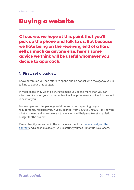# Buying a website

**Of course, we hope at this point that you'll pick up the phone and talk to us. But because we hate being on the receiving end of a hard sell as much as anyone else, here's some advice we think will be useful whomever you decide to approach.** 

#### **1. First, set a budget.**

Know how much you can afford to spend and be honest with the agency you're talking to about that budget.

In most cases, they won't be trying to make you spend more than you can afford and knowing your budget upfront will help them work out which product is best for you.

For example, we offer packages of different sizes depending on your requirements. Websites vary hugely in price, from £200 to £10,000 – so knowing what you want and who you want to work with will help you to set a realistic budget for the project.

Remember, if you can put in the extra investment for [professionally-written](https://www.practiceweb.co.uk/services/content-for-accountants/)  [content](https://www.practiceweb.co.uk/services/content-for-accountants/) and a bespoke design, you're setting yourself up for future success.

 $\odot$  17  $\odot$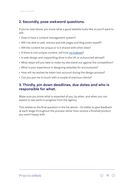#### **2. Secondly, pose awkward questions.**

If you've read above, you know what a good website looks like, so you'll want to ask:

- Does it have a content management system?
- Will I be able to add, remove and edit pages and blog posts myself?
- Will the content be unique or is it shared with other sites?
- If there is non-unique content, will it be [no-indexed](https://www.practiceweb.co.uk/guides/digital-marketing-accountants-jargon/)?
- Is web design and copywriting done in the UK or outsourced abroad?
- What steps will you take to make my site stand out against the competition?
- What is your experience in designing websites for accountants?
- How will my wishes be taken into account during the design process?
- Can you put me in touch with a couple of previous clients?

#### **3. Thirdly, pin down deadlines, due dates and who is responsible for what.**

Make sure you know what is expected of you, by when, and when you can expect to see work-in-progress from the agency.

This relates to the final question in the list above – it's better to give feedback at each stage throughout the process rather than receive a finished product you aren't happy with.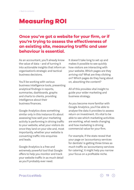# Measuring ROI

### **Once you've got a website for your firm, or if you're trying to assess the effectiveness of an existing site, measuring traffic and user behaviour is essential.**

As an accountant, you'll already know the value of data – and of turning it into actionable insights that inform an organisation's strategic and tactical business decisions.

You'll be working with various business intelligence tools, presenting analytical findings in reports, summaries, dashboards, graphs and charts to clients, providing intelligence about their business finances.

Google Analytics does something similar only in this instance it's about assessing how well your marketing activity is performing in driving traffic to your website, what your visitors do once they land on your site and, most importantly, whether your website is converting traffic into enquiries and leads.

Google Analytics is a free and extremely powerful tool that Google offers to help you monitor and track your website traffic in as much detail as you'll probably ever need.

It doesn't take long to set up and makes it possible to see quickly how visitors are interacting with your website. Which pages are they arriving via? What are they clicking on? Which pages do they hang about on, absorbing the content?

All of this provides vital insight to guide your wider marketing and business strategy.

As you become more familiar with Google Analytics, you'll be able to analyse the data it provides to assess return on investment. It's vital to be able to see which marketing activities are working, what needs changing and how marketing is driving commercial value for your firm.

For example, if the stats reveal that your page on 'accountancy services for dentists' is getting three times as much traffic as 'accountancy services for catering', it might help you narrow your focus on a profitable niche.

#### **PracticeWeb**

19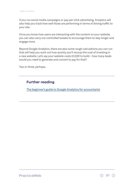If you run social media campaigns or pay-per-click advertising, Analytics will also help you track how well those are performing in terms of driving traffic to your site.

Once you know how users are interacting with the content on your website, you can also carry out controlled tweaks to encourage them to stay longer and engage more.

Beyond Google Analytics, there are also some rough calculations you can run that will help you work out how quickly you'll recoup the cost of investing in a new website. Let's say your website costs £3,500 to build – how many leads would you need to generate and convert to pay for that?

Two or three, perhaps.

#### **Further reading**

[The beginner's guide to Google Analytics for accountants](https://www.practiceweb.co.uk/knowledge/beginners-guide-to-google-analytics-for-accountants/)

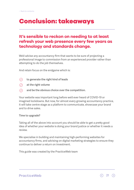# Conclusion: takeaways

### **It's sensible to reckon on needing to at least refresh your web presence every few years as technology and standards change.**

We'd advise any accountancy firm that wants to be sure of projecting a professional image to commission from an experienced provider rather than attempting to do the job themselves.

And retain focus on the endgame which is:

- $\odot$ **to generate the right kind of leads**
- $\odot$ **at the right volume**
- $\odot$ **and be the obvious choice over the competition.**

Your website was important long before we'd ever heard of COVID-19 or imagined lockdowns. But now, for almost every growing accountancy practice, it will take centre stage as a platform to communicate, showcase your brand and to drive sales.

#### **Time to upgrade?**

Taking all of the above into account you should be able to get a pretty good idea of whether your website is doing your brand justice or whether it needs a review.

We specialise in building and maintaining high-performing websites for accountancy firms, and advising on digital marketing strategies to ensure they continue to deliver a return on investment.

 $\odot$  21  $\odot$ 

This guide was created by the PracticeWeb team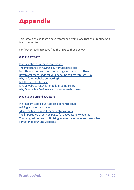# Appendix

Throughout this guide we have referenced from blogs that the PracticeWeb team has written.

For further reading please find the links to these below:

#### **Website strategy**

[Is your website harming your brand?](https://www.practiceweb.co.uk/knowledge/is-your-website-harming-your-accounting-brand/) [The importance of having a current updated site](https://www.practiceweb.co.uk/knowledge/the-importance-of-having-a-current-updated-site-for-accountants/) [Four things your website does wrong - and how to fix them](https://www.practiceweb.co.uk/knowledge/four-things-your-website-does-wrong-and-how-to-fix-them/) [How to get more leads for your accounting firm through SEO](https://www.practiceweb.co.uk/knowledge/how-to-get-more-leads-for-your-accounting-firm-through-seo/) [Why isn't my website converting?](https://www.practiceweb.co.uk/knowledge/why-isnt-my-website-converting/) [Is it the end of referrals?](https://www.practiceweb.co.uk/knowledge/is-it-the-end-of-referrals-for-accountants/) [Is your website ready for mobile-first indexing?](https://www.practiceweb.co.uk/knowledge/is-your-website-ready-for-mobile-first-indexing/) [Why Google My Business short names are big news](https://www.practiceweb.co.uk/knowledge/google-my-business-short-names/)

#### **Website design and structure**

[Minimalism is cool but it doesn't generate leads](https://www.practiceweb.co.uk/knowledge/websites-lead-generation-accountants/) [Writing an 'about us' page](https://www.practiceweb.co.uk/knowledge/writing-an-about-us-page/) ['Meet the team pages' for accountancy firms](https://www.practiceweb.co.uk/knowledge/team-pages-accountancy-firms/) [The importance of service pages for accountancy websites](https://www.practiceweb.co.uk/knowledge/websites-for-accountants-service-pages/) [Choosing, editing and optimising images for accountancy websites](https://www.practiceweb.co.uk/knowledge/optimising-images-accountancy-websites/) [Fonts for accounting websites](https://www.practiceweb.co.uk/knowledge/fonts-for-accountancy-websites/)